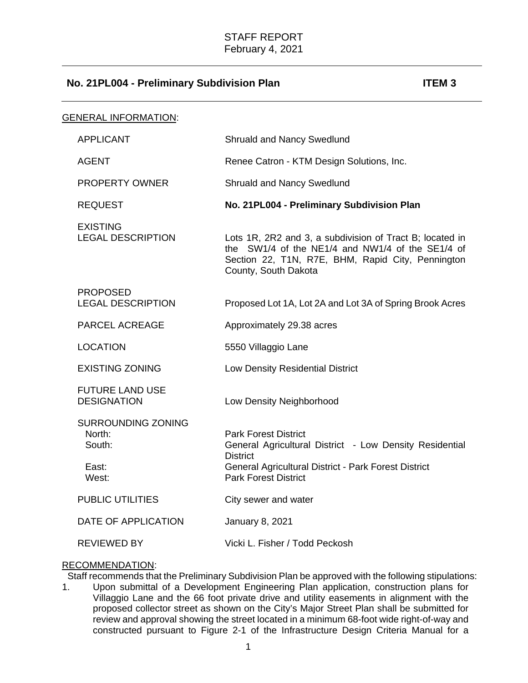| <b>GENERAL INFORMATION:</b> |                                                                 |                                                                                                                                                                                                  |
|-----------------------------|-----------------------------------------------------------------|--------------------------------------------------------------------------------------------------------------------------------------------------------------------------------------------------|
|                             | <b>APPLICANT</b>                                                | <b>Shruald and Nancy Swedlund</b>                                                                                                                                                                |
|                             | <b>AGENT</b>                                                    | Renee Catron - KTM Design Solutions, Inc.                                                                                                                                                        |
|                             | <b>PROPERTY OWNER</b>                                           | <b>Shruald and Nancy Swedlund</b>                                                                                                                                                                |
|                             | <b>REQUEST</b>                                                  | No. 21PL004 - Preliminary Subdivision Plan                                                                                                                                                       |
|                             | <b>EXISTING</b><br><b>LEGAL DESCRIPTION</b>                     | Lots 1R, 2R2 and 3, a subdivision of Tract B; located in<br>the SW1/4 of the NE1/4 and NW1/4 of the SE1/4 of<br>Section 22, T1N, R7E, BHM, Rapid City, Pennington<br>County, South Dakota        |
|                             | <b>PROPOSED</b><br><b>LEGAL DESCRIPTION</b>                     | Proposed Lot 1A, Lot 2A and Lot 3A of Spring Brook Acres                                                                                                                                         |
|                             | PARCEL ACREAGE                                                  | Approximately 29.38 acres                                                                                                                                                                        |
|                             | <b>LOCATION</b>                                                 | 5550 Villaggio Lane                                                                                                                                                                              |
|                             | <b>EXISTING ZONING</b>                                          | Low Density Residential District                                                                                                                                                                 |
|                             | <b>FUTURE LAND USE</b><br><b>DESIGNATION</b>                    | Low Density Neighborhood                                                                                                                                                                         |
|                             | <b>SURROUNDING ZONING</b><br>North:<br>South:<br>East:<br>West: | <b>Park Forest District</b><br>General Agricultural District - Low Density Residential<br><b>District</b><br>General Agricultural District - Park Forest District<br><b>Park Forest District</b> |
|                             | <b>PUBLIC UTILITIES</b>                                         | City sewer and water                                                                                                                                                                             |
|                             | DATE OF APPLICATION                                             | <b>January 8, 2021</b>                                                                                                                                                                           |
|                             | REVIEWED BY                                                     | Vicki L. Fisher / Todd Peckosh                                                                                                                                                                   |
|                             |                                                                 |                                                                                                                                                                                                  |

### RECOMMENDATION:

Staff recommends that the Preliminary Subdivision Plan be approved with the following stipulations:<br>1. Upon submittal of a Development Engineering Plan application, construction plans for

Upon submittal of a Development Engineering Plan application, construction plans for Villaggio Lane and the 66 foot private drive and utility easements in alignment with the proposed collector street as shown on the City's Major Street Plan shall be submitted for review and approval showing the street located in a minimum 68-foot wide right-of-way and constructed pursuant to Figure 2-1 of the Infrastructure Design Criteria Manual for a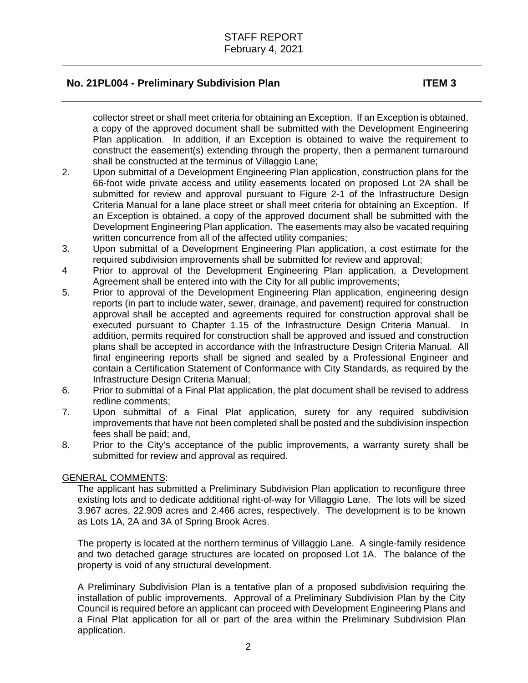collector street or shall meet criteria for obtaining an Exception. If an Exception is obtained, a copy of the approved document shall be submitted with the Development Engineering Plan application. In addition, if an Exception is obtained to waive the requirement to construct the easement(s) extending through the property, then a permanent turnaround shall be constructed at the terminus of Villaggio Lane;

- 2. Upon submittal of a Development Engineering Plan application, construction plans for the 66-foot wide private access and utility easements located on proposed Lot 2A shall be submitted for review and approval pursuant to Figure 2-1 of the Infrastructure Design Criteria Manual for a lane place street or shall meet criteria for obtaining an Exception. If an Exception is obtained, a copy of the approved document shall be submitted with the Development Engineering Plan application. The easements may also be vacated requiring written concurrence from all of the affected utility companies;
- 3. Upon submittal of a Development Engineering Plan application, a cost estimate for the required subdivision improvements shall be submitted for review and approval;
- 4 Prior to approval of the Development Engineering Plan application, a Development Agreement shall be entered into with the City for all public improvements;
- 5. Prior to approval of the Development Engineering Plan application, engineering design reports (in part to include water, sewer, drainage, and pavement) required for construction approval shall be accepted and agreements required for construction approval shall be executed pursuant to Chapter 1.15 of the Infrastructure Design Criteria Manual. In addition, permits required for construction shall be approved and issued and construction plans shall be accepted in accordance with the Infrastructure Design Criteria Manual. All final engineering reports shall be signed and sealed by a Professional Engineer and contain a Certification Statement of Conformance with City Standards, as required by the Infrastructure Design Criteria Manual;
- 6. Prior to submittal of a Final Plat application, the plat document shall be revised to address redline comments;
- 7. Upon submittal of a Final Plat application, surety for any required subdivision improvements that have not been completed shall be posted and the subdivision inspection fees shall be paid; and,
- 8. Prior to the City's acceptance of the public improvements, a warranty surety shall be submitted for review and approval as required.

## GENERAL COMMENTS:

The applicant has submitted a Preliminary Subdivision Plan application to reconfigure three existing lots and to dedicate additional right-of-way for Villaggio Lane. The lots will be sized 3.967 acres, 22.909 acres and 2.466 acres, respectively. The development is to be known as Lots 1A, 2A and 3A of Spring Brook Acres.

The property is located at the northern terminus of Villaggio Lane. A single-family residence and two detached garage structures are located on proposed Lot 1A. The balance of the property is void of any structural development.

A Preliminary Subdivision Plan is a tentative plan of a proposed subdivision requiring the installation of public improvements. Approval of a Preliminary Subdivision Plan by the City Council is required before an applicant can proceed with Development Engineering Plans and a Final Plat application for all or part of the area within the Preliminary Subdivision Plan application.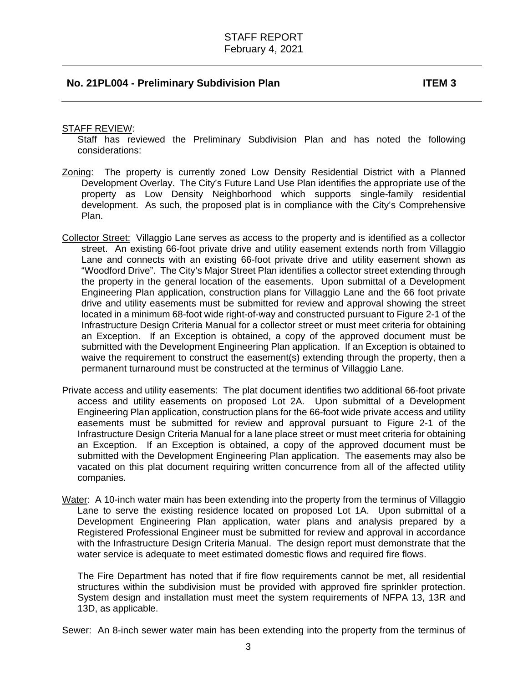#### STAFF REVIEW:

Staff has reviewed the Preliminary Subdivision Plan and has noted the following considerations:

- Zoning: The property is currently zoned Low Density Residential District with a Planned Development Overlay. The City's Future Land Use Plan identifies the appropriate use of the property as Low Density Neighborhood which supports single-family residential development. As such, the proposed plat is in compliance with the City's Comprehensive Plan.
- Collector Street: Villaggio Lane serves as access to the property and is identified as a collector street. An existing 66-foot private drive and utility easement extends north from Villaggio Lane and connects with an existing 66-foot private drive and utility easement shown as "Woodford Drive". The City's Major Street Plan identifies a collector street extending through the property in the general location of the easements. Upon submittal of a Development Engineering Plan application, construction plans for Villaggio Lane and the 66 foot private drive and utility easements must be submitted for review and approval showing the street located in a minimum 68-foot wide right-of-way and constructed pursuant to Figure 2-1 of the Infrastructure Design Criteria Manual for a collector street or must meet criteria for obtaining an Exception. If an Exception is obtained, a copy of the approved document must be submitted with the Development Engineering Plan application. If an Exception is obtained to waive the requirement to construct the easement(s) extending through the property, then a permanent turnaround must be constructed at the terminus of Villaggio Lane.
- Private access and utility easements: The plat document identifies two additional 66-foot private access and utility easements on proposed Lot 2A. Upon submittal of a Development Engineering Plan application, construction plans for the 66-foot wide private access and utility easements must be submitted for review and approval pursuant to Figure 2-1 of the Infrastructure Design Criteria Manual for a lane place street or must meet criteria for obtaining an Exception. If an Exception is obtained, a copy of the approved document must be submitted with the Development Engineering Plan application. The easements may also be vacated on this plat document requiring written concurrence from all of the affected utility companies.
- Water: A 10-inch water main has been extending into the property from the terminus of Villaggio Lane to serve the existing residence located on proposed Lot 1A. Upon submittal of a Development Engineering Plan application, water plans and analysis prepared by a Registered Professional Engineer must be submitted for review and approval in accordance with the Infrastructure Design Criteria Manual. The design report must demonstrate that the water service is adequate to meet estimated domestic flows and required fire flows.

The Fire Department has noted that if fire flow requirements cannot be met, all residential structures within the subdivision must be provided with approved fire sprinkler protection. System design and installation must meet the system requirements of NFPA 13, 13R and 13D, as applicable.

Sewer: An 8-inch sewer water main has been extending into the property from the terminus of